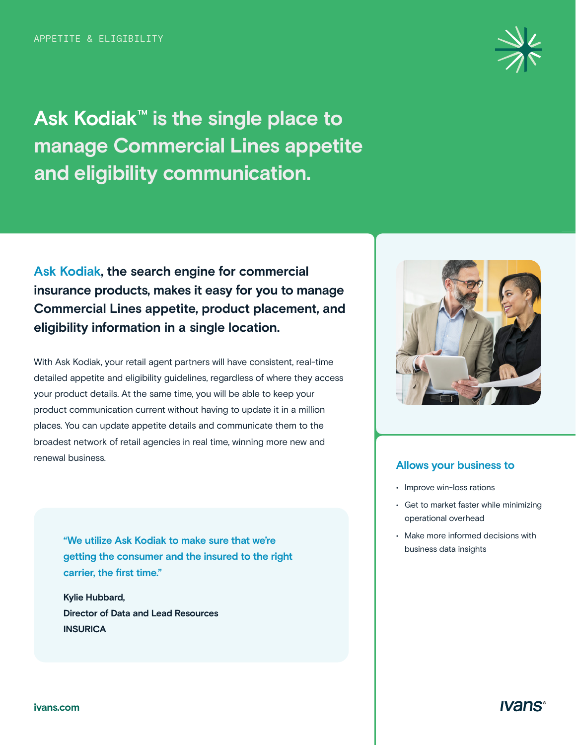**Ask Kodiak™ is the single place to manage Commercial Lines appetite and eligibility communication.** 

**Ask Kodiak, the search engine for commercial insurance products, makes it easy for you to manage Commercial Lines appetite, product placement, and eligibility information in a single location.** 

With Ask Kodiak, your retail agent partners will have consistent, real-time detailed appetite and eligibility guidelines, regardless of where they access your product details. At the same time, you will be able to keep your product communication current without having to update it in a million places. You can update appetite details and communicate them to the broadest network of retail agencies in real time, winning more new and renewal business.

**"We utilize Ask Kodiak to make sure that we're getting the consumer and the insured to the right carrier, the first time."** 

**Kylie Hubbard, Director of Data and Lead Resources INSURICA** 





#### **Allows your business to**

- Improve win-loss rations
- Get to market faster while minimizing operational overhead
- Make more informed decisions with business data insights